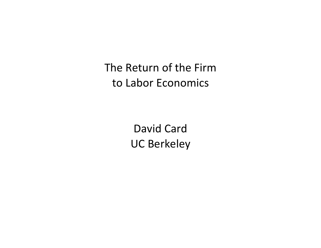The Return of the Firm to Labor Economics

> David Card UC Berkeley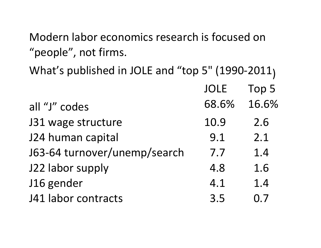Modern labor economics research is focused on "people", not firms.

What's published in JOLE and "top 5" (1990-2011) JOLE Top 5 all "J" codes 68.6% 16.6% J31 wage structure 10.9 2.6 J24 human capital 124 human capital J63-64 turnover/unemp/search 7.7 1.4 J22 labor supply 4.8 1.6 J16 gender 4.1 1.4 J41 labor contracts 3.5 0.7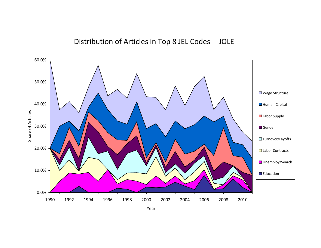

Year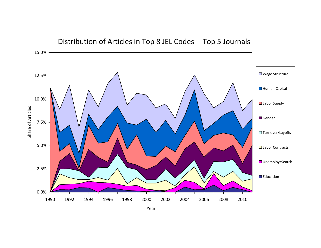

#### Distribution of Articles in Top 8 JEL Codes ‐‐ Top 5 Journals

Year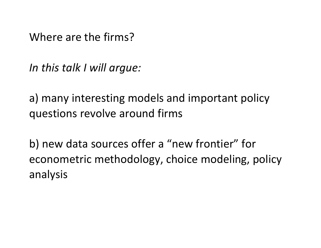Where are the firms?

*In this talk I will argue:* 

a) many interesting models and important policy questions revolve around firms

b) new data sources offer a "new frontier" for econometric methodology, choice modeling, policy analysis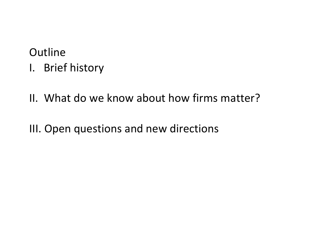# **Outline** I. Brief history

II. What do we know about how firms matter?

III. Open questions and new directions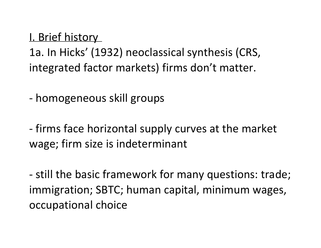I. Brief history 1a. In Hicks' (1932) neoclassical synthesis (CRS, integrated factor markets) firms don't matter.

- homogeneous skill groups

- firms face horizontal supply curves at the market wage; firm size is indeterminant

- still the basic framework for many questions: trade; immigration; SBTC; human capital, minimum wages, occupational choice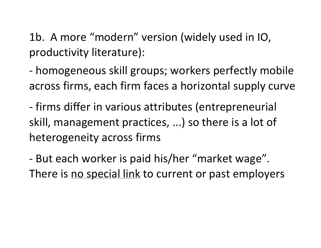1b. A more "modern" version (widely used in IO, productivity literature):

- homogeneous skill groups; workers perfectly mobile across firms, each firm faces a horizontal supply curve

- firms differ in various attributes (entrepreneurial skill, management practices, ...) so there is a lot of heterogeneity across firms

- But each worker is paid his/her "market wage". There is no special link to current or past employers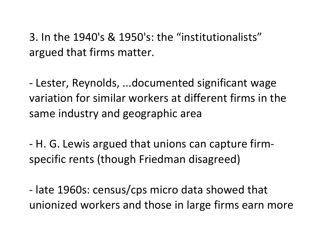3. In the 1940's & 1950's: the "institutionalists" argued that firms matter.

- Lester, Reynolds, ...documented significant wage variation for similar workers at different firms in the same industry and geographic area

- H. G. Lewis argued that unions can capture firmspecific rents (though Friedman disagreed)

- late 1960s: census/cps micro data showed that unionized workers and those in large firms earn more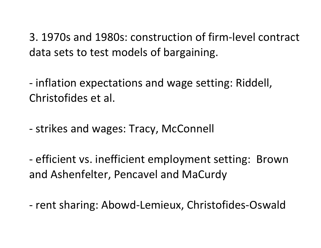3. 1970s and 1980s: construction of firm-level contract data sets to test models of bargaining.

- inflation expectations and wage setting: Riddell, Christofides et al.

- strikes and wages: Tracy, McConnell

- efficient vs. inefficient employment setting: Brown and Ashenfelter, Pencavel and MaCurdy

- rent sharing: Abowd-Lemieux, Christofides-Oswald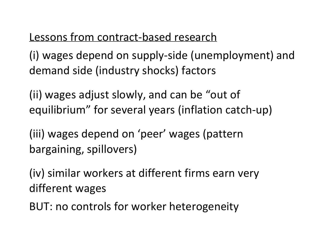### Lessons from contract-based research

(i) wages depend on supply-side (unemployment) and demand side (industry shocks) factors

(ii) wages adjust slowly, and can be "out of equilibrium" for several years (inflation catch-up)

(iii) wages depend on 'peer' wages (pattern bargaining, spillovers)

(iv) similar workers at different firms earn very different wages

BUT: no controls for worker heterogeneity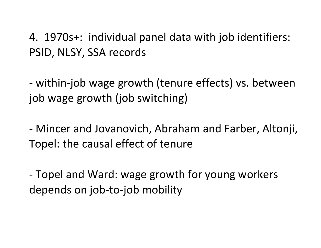4. 1970s+: individual panel data with job identifiers: PSID, NLSY, SSA records

- within-job wage growth (tenure effects) vs. between job wage growth (job switching)

- Mincer and Jovanovich, Abraham and Farber, Altonji, Topel: the causal effect of tenure

- Topel and Ward: wage growth for young workers depends on job-to-job mobility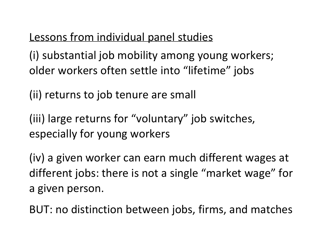## Lessons from individual panel studies

(i) substantial job mobility among young workers; older workers often settle into "lifetime" jobs

(ii) returns to job tenure are small

(iii) large returns for "voluntary" job switches, especially for young workers

(iv) a given worker can earn much different wages at different jobs: there is not a single "market wage" for a given person.

BUT: no distinction between jobs, firms, and matches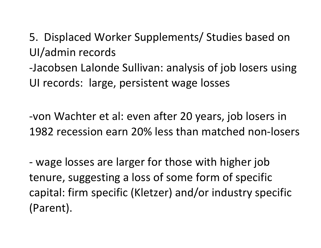5. Displaced Worker Supplements/ Studies based on UI/admin records

-Jacobsen Lalonde Sullivan: analysis of job losers using UI records: large, persistent wage losses

-von Wachter et al: even after 20 years, job losers in 1982 recession earn 20% less than matched non-losers

- wage losses are larger for those with higher job tenure, suggesting a loss of some form of specific capital: firm specific (Kletzer) and/or industry specific (Parent).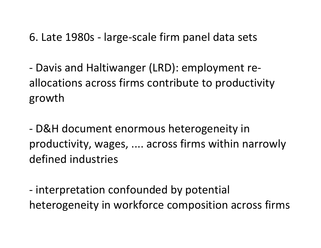6. Late 1980s - large-scale firm panel data sets

- Davis and Haltiwanger (LRD): employment reallocations across firms contribute to productivity growth

- D&H document enormous heterogeneity in productivity, wages, .... across firms within narrowly defined industries

- interpretation confounded by potential heterogeneity in workforce composition across firms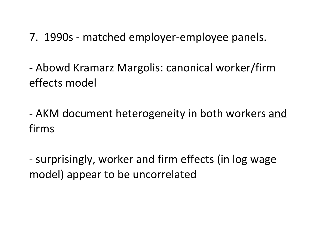7. 1990s - matched employer-employee panels.

- Abowd Kramarz Margolis: canonical worker/firm effects model

- AKM document heterogeneity in both workers and firms

- surprisingly, worker and firm effects (in log wage model) appear to be uncorrelated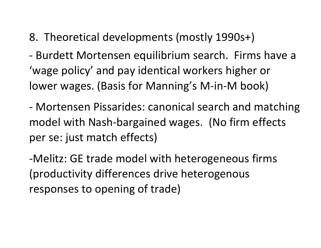### 8. Theoretical developments (mostly 1990s+)

- Burdett Mortensen equilibrium search. Firms have a 'wage policy' and pay identical workers higher or lower wages. (Basis for Manning's M-in-M book)

- Mortensen Pissarides: canonical search and matching model with Nash-bargained wages. (No firm effects per se: just match effects)

-Melitz: GE trade model with heterogeneous firms (productivity differences drive heterogenous responses to opening of trade)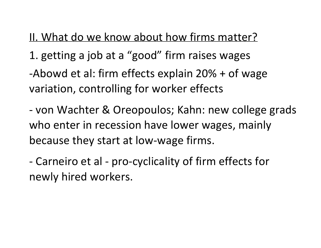II. What do we know about how firms matter? 1. getting a job at a "good" firm raises wages -Abowd et al: firm effects explain 20% + of wage variation, controlling for worker effects

- von Wachter & Oreopoulos; Kahn: new college grads who enter in recession have lower wages, mainly because they start at low-wage firms.

- Carneiro et al - pro-cyclicality of firm effects for newly hired workers.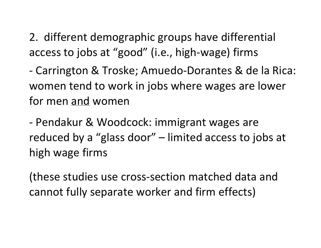2. different demographic groups have differential access to jobs at "good" (i.e., high-wage) firms

- Carrington & Troske; Amuedo-Dorantes & de la Rica: women tend to work in jobs where wages are lower for men and women

- Pendakur & Woodcock: immigrant wages are reduced by a "glass door" – limited access to jobs at high wage firms

(these studies use cross-section matched data and cannot fully separate worker and firm effects)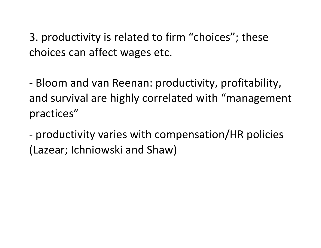3. productivity is related to firm "choices"; these choices can affect wages etc.

- Bloom and van Reenan: productivity, profitability, and survival are highly correlated with "management practices"

- productivity varies with compensation/HR policies (Lazear; Ichniowski and Shaw)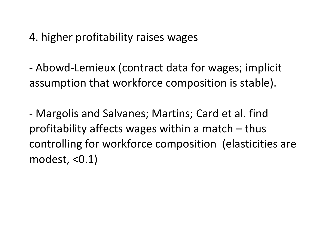4. higher profitability raises wages

- Abowd-Lemieux (contract data for wages; implicit assumption that workforce composition is stable).

- Margolis and Salvanes; Martins; Card et al. find profitability affects wages within a match  $-$  thus controlling for workforce composition (elasticities are modest, <0.1)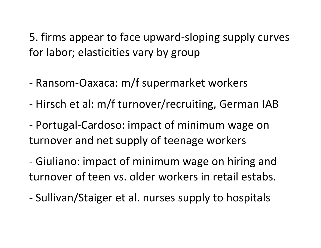5. firms appear to face upward-sloping supply curves for labor; elasticities vary by group

- Ransom-Oaxaca: m/f supermarket workers
- Hirsch et al: m/f turnover/recruiting, German IAB
- Portugal-Cardoso: impact of minimum wage on turnover and net supply of teenage workers

- Giuliano: impact of minimum wage on hiring and turnover of teen vs. older workers in retail estabs.

- Sullivan/Staiger et al. nurses supply to hospitals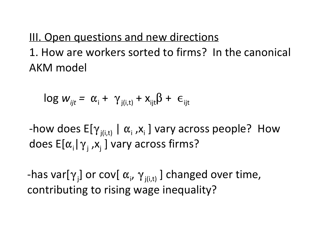III. Open questions and new directions 1. How are workers sorted to firms? In the canonical AKM model

$$
\log w_{ijt} = \alpha_i + \gamma_{j(i,t)} + x_{ijt}\beta + \epsilon_{ijt}
$$

-how does  $E[\gamma_{j(i,t)} \mid \alpha_i, x_i]$  vary across people? How does  $E[\alpha_{i} | \gamma_{j} , x_{j}]$  vary across firms?

-has var[ $\gamma_j$ ] or cov[ $\alpha_j$ ,  $\gamma_{j(i,t)}$ ] changed over time, contributing to rising wage inequality?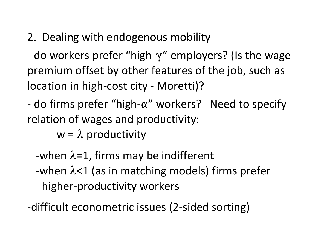# 2. Dealing with endogenous mobility

- do workers prefer "high- $\gamma$ " employers? (Is the wage premium offset by other features of the job, such as location in high-cost city - Moretti)?

- do firms prefer "high- $\alpha$ " workers? Need to specify relation of wages and productivity:

 $w = \lambda$  productivity

-when  $\lambda$ =1, firms may be indifferent -when  $\lambda$ <1 (as in matching models) firms prefer higher-productivity workers

-difficult econometric issues (2-sided sorting)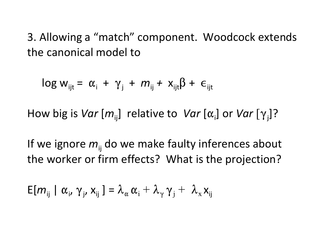3. Allowing a "match" component. Woodcock extends the canonical model to

 $\log w_{ijt} = \alpha_i + \gamma_j + m_{ij} + x_{ijt} \beta + \epsilon_{ijt}$ 

How big is *Var*  $[m_{ij}]$  relative to *Var*  $[\alpha_{i}]$  or *Var*  $[\gamma_{j}]$ ?

If we ignore  $m_{ii}$  do we make faulty inferences about the worker or firm effects? What is the projection?

$$
E[m_{ij} | \alpha_i, \gamma_j, x_{ij}] = \lambda_{\alpha} \alpha_i + \lambda_{\gamma} \gamma_j + \lambda_{\alpha} x_{ij}
$$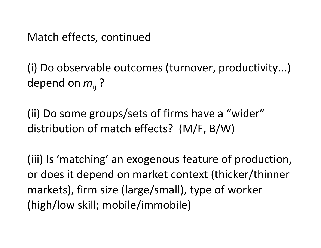Match effects, continued

(i) Do observable outcomes (turnover, productivity...) depend on  $m_{ii}$  ?

(ii) Do some groups/sets of firms have a "wider" distribution of match effects? (M/F, B/W)

(iii) Is 'matching' an exogenous feature of production, or does it depend on market context (thicker/thinner markets), firm size (large/small), type of worker (high/low skill; mobile/immobile)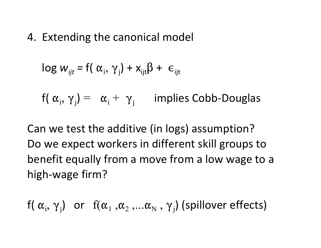4. Extending the canonical model

$$
\log w_{ijt} = f(\alpha_i, \gamma_j) + x_{ijt}\beta + \epsilon_{ijt}
$$

 $f(\alpha_i, \gamma_j) = \alpha_i + \gamma_j$  implies Cobb-Douglas

Can we test the additive (in logs) assumption? Do we expect workers in different skill groups to benefit equally from a move from a low wage to a high-wage firm?

$$
f(\alpha_i, \gamma_j)
$$
 or  $f(\alpha_1, \alpha_2, \ldots \alpha_N, \gamma_j)$  (spillover effects)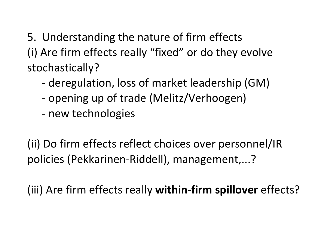5. Understanding the nature of firm effects (i) Are firm effects really "fixed" or do they evolve stochastically?

- deregulation, loss of market leadership (GM)
- opening up of trade (Melitz/Verhoogen)
- new technologies

(ii) Do firm effects reflect choices over personnel/IR policies (Pekkarinen-Riddell), management,...?

(iii) Are firm effects really **within-firm spillover** effects?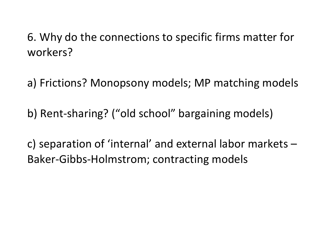6. Why do the connections to specific firms matter for workers?

a) Frictions? Monopsony models; MP matching models

b) Rent-sharing? ("old school" bargaining models)

c) separation of 'internal' and external labor markets – Baker-Gibbs-Holmstrom; contracting models